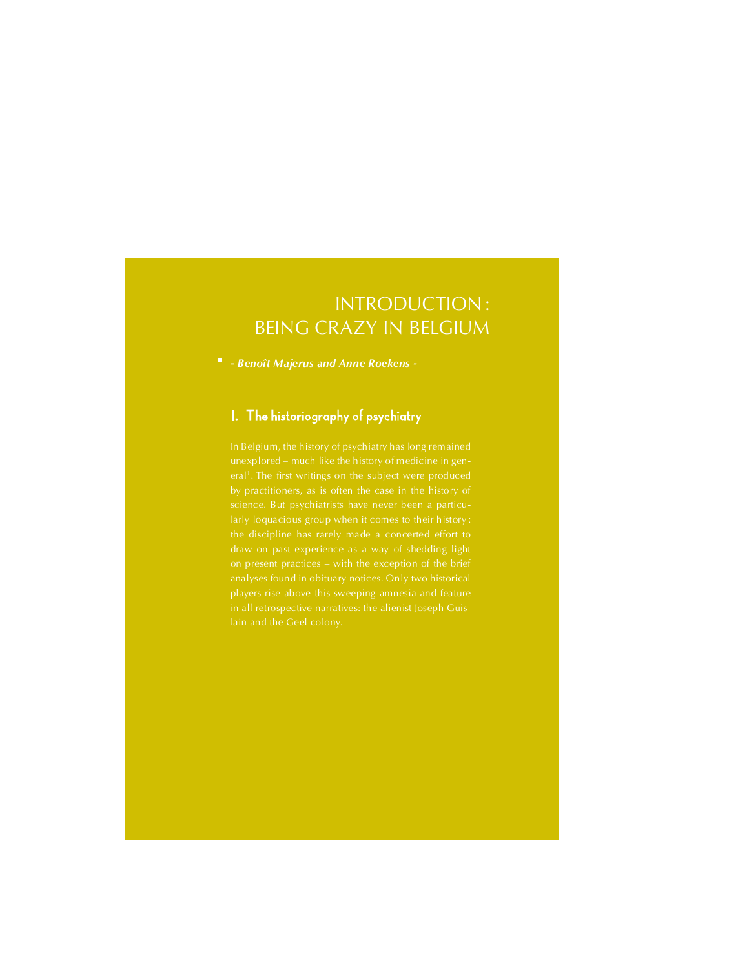# INTRODUCTION: **BEING CRAZY IN BELGIUM**

- Benoît Majerus and Anne Roekens -

# I. The historiography of psychiatry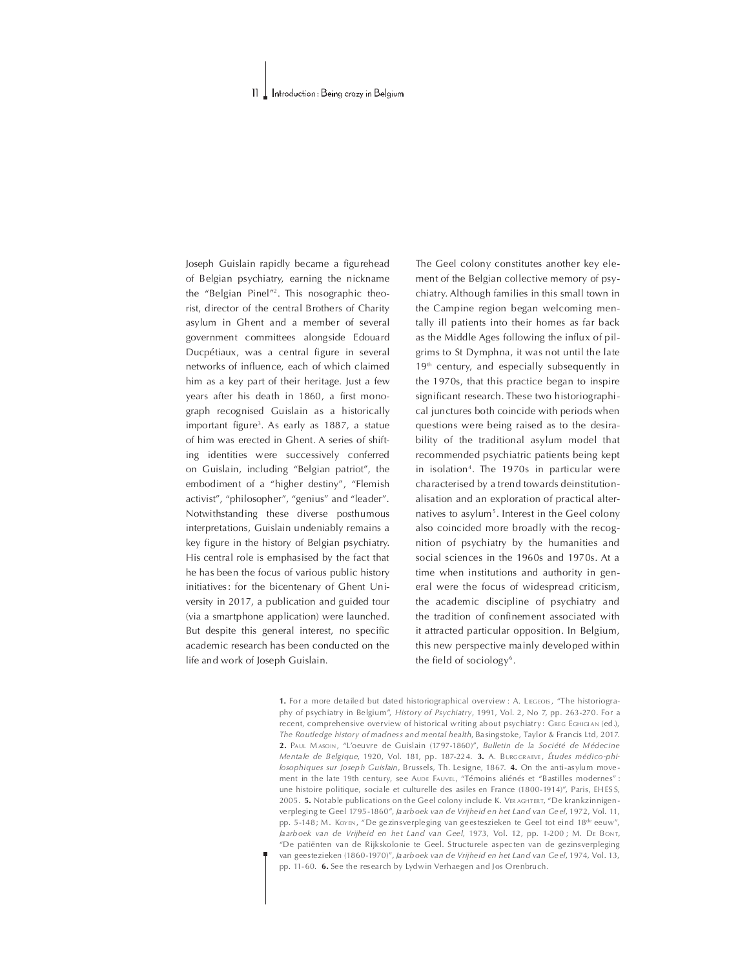#### $\mathbf{I}$ . Introduction : Being crazy in Belgium

Joseph Guislain rapidly became a figurehead of Belgian psychiatry, earning the nickname the "Belgian Pinel"<sup>2</sup>. This nosographic theorist, director of the central Brothers of Charity asylum in Ghent and a member of several government committees alongside Edouard Ducpétiaux, was a central figure in several networks of influence, each of which claimed him as a key part of their heritage. Just a few years after his death in 1860, a first monograph recognised Guislain as a historically important figure<sup>3</sup>. As early as 1887, a statue of him was erected in Ghent. A series of shifting identities were successively conferred on Guislain, including "Belgian patriot", the embodiment of a "higher destiny", "Flemish activist", "philosopher", "genius" and "leader". Notwithstanding these diverse posthumous interpretations, Guislain undeniably remains a key figure in the history of Belgian psychiatry. His central role is emphasised by the fact that he has been the focus of various public history initiatives: for the bicentenary of Ghent University in 2017, a publication and guided tour (via a smartphone application) were launched. But despite this general interest, no specific academic research has been conducted on the life and work of Joseph Guislain.

The Geel colony constitutes another key element of the Belgian collective memory of psychiatry. Although families in this small town in the Campine region began welcoming mentally ill patients into their homes as far back as the Middle Ages following the influx of pilgrims to St Dymphna, it was not until the late  $19<sup>th</sup>$  century, and especially subsequently in the 1970s, that this practice began to inspire significant research. These two historiographical junctures both coincide with periods when questions were being raised as to the desirability of the traditional asylum model that recommended psychiatric patients being kept in isolation<sup>4</sup>. The 1970s in particular were characterised by a trend towards deinstitutionalisation and an exploration of practical alternatives to asylum<sup>5</sup>. Interest in the Geel colony also coincided more broadly with the recognition of psychiatry by the humanities and social sciences in the 1960s and 1970s. At a time when institutions and authority in general were the focus of widespread criticism, the academic discipline of psychiatry and the tradition of confinement associated with it attracted particular opposition. In Belgium, this new perspective mainly developed within the field of sociology<sup>6</sup>.

1. For a more detailed but dated historiographical overview : A. LEGEOIS, "The historiography of psychiatry in Belgium", History of Psychiatry, 1991, Vol. 2, No 7, pp. 263-270. For a recent, comprehensive overview of historical writing about psychiatry: GREG EGHIGIAN (ed.), The Routledge history of madness and mental health, Ba sing stoke, Taylor & Francis Ltd. 2017. 2. PAUL MASOIN, "L'Oeuvre de Guislain (1797-1860)", Bulletin de la Société de Médecine Mentale de Belgique, 1920, Vol. 181, pp. 187-224. 3. A. BURGGRAEVE, Études médico-philosophiques sur Joseph Guislain, Brussels, Th. Le signe, 1867. 4. On the anti-as ylum movement in the late 19th century, see Aude FAUVEL, "Témoins aliénés et "Bastilles modernes" : une histoire politique, sociale et culturelle des asiles en France (1800-1914)", Paris, FH ES S, 2005. 5. Notable publications on the Geel colony include K. VER AGHTERT, "De krankzinnigenverpleging te Geel 1795 -1860", Jaarboek van de Vrijheid en het Land van Geel, 1972, Vol. 11, pp. 5-148; M. KovEN, "De gezinsverpleging van geesteszieken te Geel tot eind 18<sup>de</sup> eeuw", Jaarboek van de Vrijheid en het Land van Geel, 1973, Vol. 12, pp. 1-200; M. DE Bont, De patiënten vande Rijkskolonie te Geel. Structu rele aspec ten van de gezinsverpleging van geestezieken (1860-1970)", Jaarboek van de Vrijheid en het Land van Geel, 1974, Vol. 13, pp. 11-60. 6. See the research by Lydwin Verhaegen and Jos Orenbruch.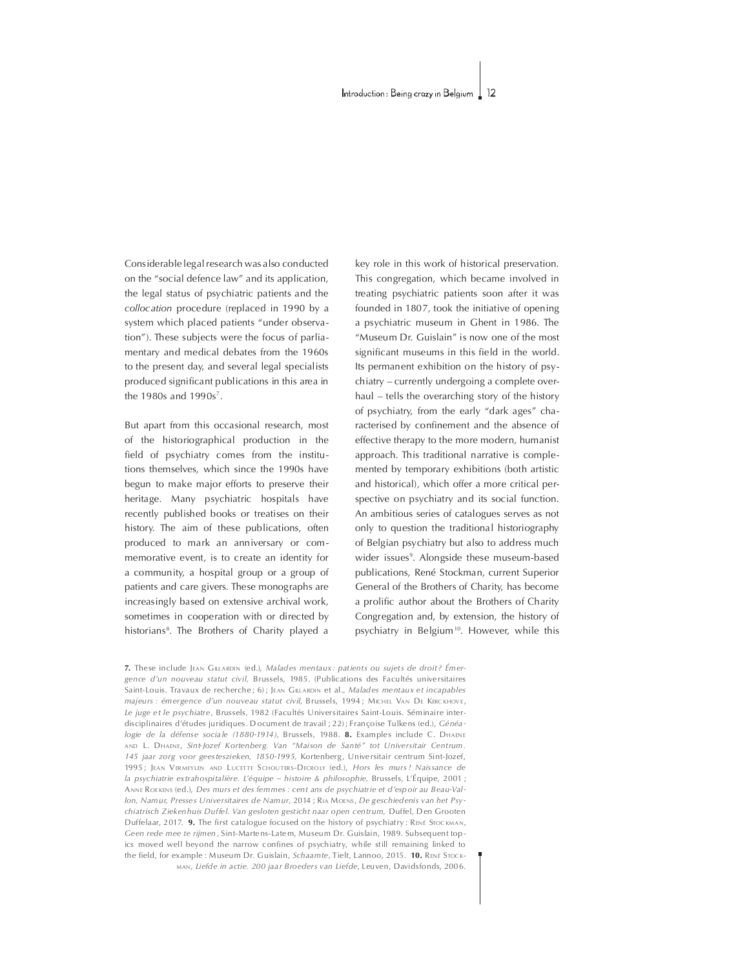Considerable legal research was also conducted on the "social defence law" and its application, the legal status of psychiatric patients and the collocation procedure (replaced in 1990 by a system which placed patients "under observation"). These subjects were the focus of parliamentary and medical debates from the 1960s to the present day, and several legal specialists produced significant publications in this area in the 1980s and 1990s<sup>7</sup>.

But apart from this occasional research, most of the historiographical production in the field of psychiatry comes from the institutions themselves, which since the 1990s have begun to make major efforts to preserve their heritage. Many psychiatric hospitals have recently published books or treatises on their history. The aim of these publications, often produced to mark an anniversary or commemorative event, is to create an identity for a community, a hospital group or a group of patients and care givers. These monographs are increasingly based on extensive archival work, sometimes in cooperation with or directed by historians<sup>8</sup>. The Brothers of Charity played a

key role in this work of historical preservation. This congregation, which became involved in treating psychiatric patients soon after it was founded in 1807, took the initiative of opening a psychiatric museum in Ghent in 1986. The "Museum Dr. Guislain" is now one of the most significant museums in this field in the world. Its permanent exhibition on the history of psychiatry – currently undergoing a complete overhaul – tells the overarching story of the history of psychiatry, from the early "dark ages" characterised by confinement and the absence of effective therapy to the more modern, humanist approach. This traditional narrative is complemented by temporary exhibitions (both artistic and historical), which offer a more critical perspective on psychiatry and its social function. An ambitious series of catalogues serves as not only to question the traditional historiography of Belgian psychiatry but also to address much wider issues<sup>9</sup>. Alongside these museum-based publications, René Stockman, current Superior General of the Brothers of Charity, has become a prolific author about the Brothers of Charity Congregation and, by extension, the history of psychiatry in Belgium<sup>10</sup>. However, while this

7. These include JEAN GILLARDIN (ed.), Malades mentaux: patients ou sujets de droit? Émergence d'un nouveau statut civil, Brussels, 1985. (Publications des Facultés universitaires Saint-Louis. Travaux de recherche; 6); JEAN GILLARDIN et al., Malades mentaux et incapables majeurs : émergence d'un nouveau statut civil, Brussels, 1994 ; MICHEL VAN DE KERCKHOVE, Le juge et le psychiatre, Brussels, 1982 (Facultés Universitaires Saint-Louis, Séminaire interdisciplinaires d'études juridiques. Document de travail ; 22) ; Françoise Tulkens (ed.), Généalogie de la défense sociale (1880-1914), Brussels, 1988, 8. Examples include C. DHAENE AND L. DHAENE, Sint-Jozef Kortenberg. Van "Maison de Santé" tot Universitair Centrum. 145 jaar zorg voor geesteszieken, 1850-1995, Kortenberg, Universitair centrum Sint-Jozef, 1995; JEAN VERMEYLEN AND LUCETTE SCHOUTERS-DECROLY (ed.), Hors les murs ! Naissance de la psychiatrie extrahospitalière. L'équipe - histoire & philosophie, Brussels, L'Équipe, 2001 ; ANNE ROEKENS (ed.). Des murs et des femmes : cent ans de psychiatrie et d'espoir au Beau-Vallon, Namur, Presses Universitaires de Namur, 2014 ; RIA MOENS, De geschiedenis van het Psychiatrisch Ziekenhuis Duffel. Van gesloten gesticht naar open centrum, Duffel, Den Grooten Duffelaar, 2017. 9. The first catalogue focused on the history of psychiatry: RENÉ STOCKMAN, Geen rede mee te rijmen, Sint-Martens-Latem, Museum Dr. Guislain, 1989. Subsequent topics moved well beyond the narrow confines of psychiatry, while still remaining linked to the field, for example : Museum Dr. Guislain, Schaamte, Tielt, Lannoo, 2015. 10. RENÉ STOCK-MAN, Liefde in actie. 200 jaar Broeders van Liefde, Leuven, Davidsfonds, 2006.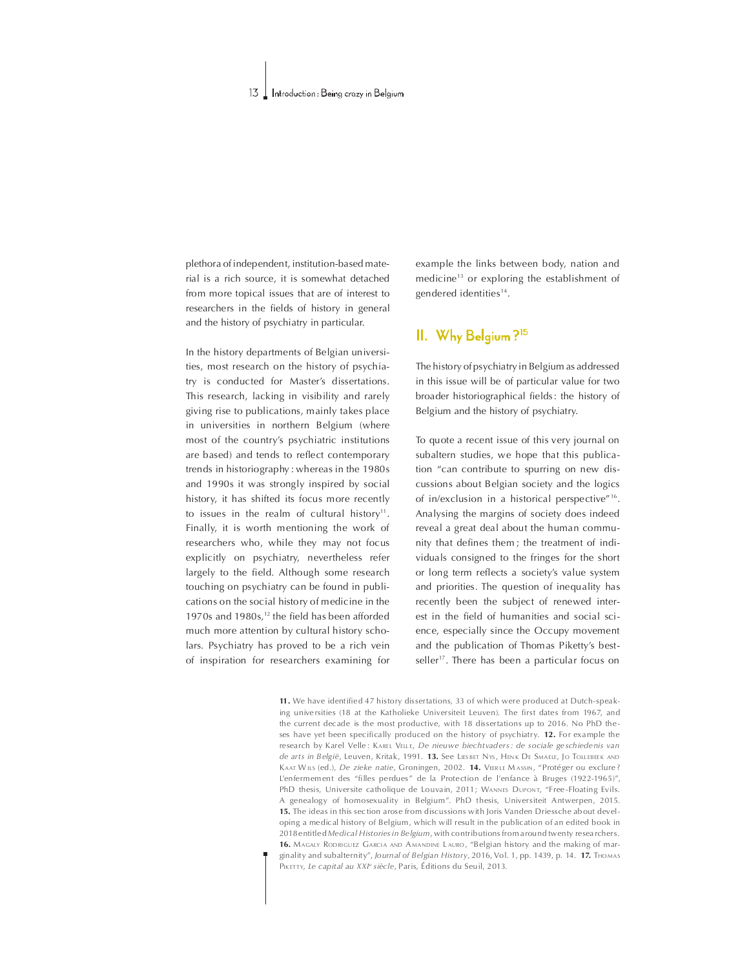plethora of independent, institution-based material is a rich source, it is somewhat detached from more topical issues that are of interest to researchers in the fields of history in general and the history of psychiatry in particular.

In the history departments of Belgian universities, most research on the history of psychiatry is conducted for Master's dissertations. This research, lacking in visibility and rarely giving rise to publications, mainly takes place in universities in northern Belgium (where most of the countrys psychiatric institutions are based) and tends to reflect contemporary trends in historiography : whereas in the 1980s and 1990s it was strongly inspired by social history, it has shifted its focus more recently to issues in the realm of cultural history<sup>11</sup>. Finally, it is worth mentioning the work of researchers who, while they may not focus explicitly on psychiatry, nevertheless refer largely to the field. Although some research touching on psychiatry can be found in publications on the social history of medicine in the 1970s and  $1980s$ ,<sup>12</sup> the field has been afforded much more attention by cultural history scholars. Psychiatry has proved to be a rich vein of inspiration for researchers examining for

example the links between body, nation and medicine<sup>13</sup> or exploring the establishment of gendered identities<sup>14</sup>.

## II. Why Belgium?<sup>15</sup>

The history of psychiatry in Belgium as addressed in this issue will be of particular value for two broader historiographical fields: the history of Belgium and the history of psychiatry.

To quote a recent issue of this very journal on subaltern studies, we hope that this publication "can contribute to spurring on new discussions about Belgian society and the logics of in/exclusion in a historical perspective"<sup>16</sup>. Analysing the margins of society does indeed reveal a great deal about the human community that defines them; the treatment of individuals consigned to the fringes for the short or long term reflects a society's value system and priorities. The question of inequality has recently been the subject of renewed interest in the field of humanities and social science, especially since the Occupy movement and the publication of Thom as Piketty's bestseller<sup>17</sup>. There has been a particular focus on

11. We have identified 47 history dissertations, 33 of which were produced at Dutch-speaking universities (18 at the Katholieke Universiteit Leuven). The first dates from 1967, and the current decade is the most productive, with 18 dissertations up to 2016. No PhD theses have yet been specifically produced on the history of psychiatry.  $12$ . For example the research by Karel Velle : KAREL VELLE, De nieuwe biechtvaders : de sociale ge schiedenis van de arts in België, Leuven, Kritak, 1991. 13. See LIES BET Nys, HENK DE SMAELE, JO TOLL EBEEK AND KAAT WILS (ed.), De zieke natie, Groningen, 2002. 14. VEERLE MASSIN, "Protéger ou exclure ? L'enfermement des "filles perdues" de la Protection de l'enfance à Bruges (1922-1965)", PhD thesis, Universite catholique de Louvain, 2011; WANNES DUPONT, "Free-Floating Evils. A genealogy of homosexuality in Belgium". PhD thesis, Universiteit Antwerpen, 2015. 15. The ideas in this section arose from discussions with Joris Vanden Driessche ab out developing a medical history of Belgium, which will result in the publication of an edited book in 2018 entitled Medical Histories in Belgium, with contributions from a round twenty resea rchers. 16. MAGALY RODRIGUEZ GARCIA AND AMANDINE LAURO, "Belgian history and the making of marginality and subalternity", Journal of Belgian History, 2016, Vol. 1, pp. 1439, p. 14. 17. Thomas Pikerry, Le capital au XXI<sup>e</sup> siècle. Paris, Éditions du Seuil, 2013.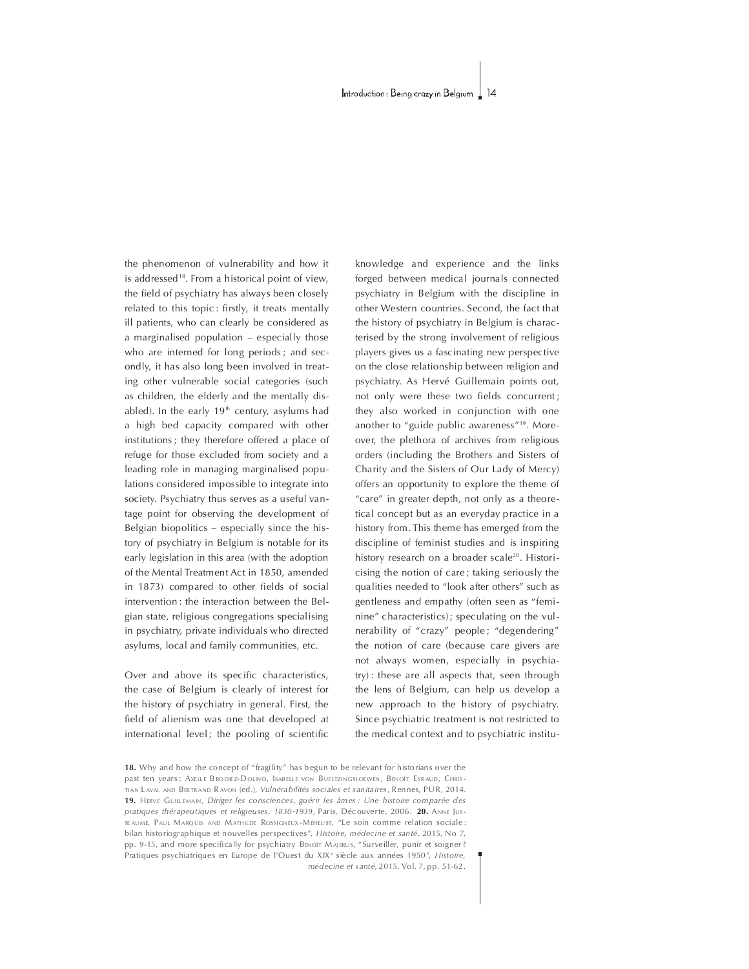the phenomenon of vulnerability and how it is addressed<sup>18</sup>. From a historical point of view, the field of psychiatry has always been closely related to this topic: firstly, it treats mentally ill patients, who can clearly be considered as a marginalised population - especially those who are interned for long periods; and secondly, it has also long been involved in treating other vulnerable social categories (such as children, the elderly and the mentally disabled). In the early  $19<sup>th</sup>$  century, asylums had a high bed capacity compared with other institutions ; they therefore offered a place of refuge for those excluded from society and a leading role in managing marginalised populations considered impossible to integrate into society. Psychiatry thus serves as a useful vantage point for observing the development of Belgian biopolitics – especially since the history of psychiatry in Belgium is notable for its early legislation in this area (with the adoption of the Mental Treatment Act in 1850, amended in 1873) compared to other fields of social intervention : the interaction between the Belgian state, religious congregations specialising in psychiatry, private individuals who directed asylums, local and family communities, etc.

Over and above its specific characteristics, the case of Belgium is clearly of interest for the history of psychiatry in general. First, the field of alienism was one that developed at international level; the pooling of scientific knowledge and experience and the links forged between medical journals connected psychiatry in Belgium with the discipline in other Western countries. Second, the fact that the history of psychiatry in Belgium is characterised by the strong involvement of religious players gives us a fascinating new perspective on the close relationship between religion and psychiatry. As Hervé Guillemain points out, not only were these two fields concurrent; they also worked in conjunction with one another to "guide public awareness"<sup>19</sup>. Moreover, the plethora of archives from religious orders (including the Brothers and Sisters of Charity and the Sisters of Our Lady of Mercy) offers an opportunity to explore the theme of "care" in greater depth, not only as a theoretical concept but as an everyday practice in a history from. This theme has emerged from the discipline of feminist studies and is inspiring history research on a broader scale<sup>20</sup>. Historicising the notion of care; taking seriously the qualities needed to "look after others" such as gentleness and empathy (often seen as "feminine" characteristics); speculating on the vulnerability of "crazy" people; "degendering" the notion of care (because care givers are not always women, especially in psychiatry) : these are all aspects that, seen through the lens of Belgium, can help us develop a new approach to the history of psychiatry. Since psychiatric treatment is not restricted to the medical context and to psychiatric institu-

18. Why and how the concept of "fragility" has begun to be relevant for historians over the past ten years: AXELLE BRODIEZ-DOLINO, ISABELLE VON BUELTZINGSLOEWEN, BENOÎT EYRAUD, CHRIS-TIAN LAVAL AND BERTRAND RAVON (ed.). Vulnéra bilités sociales et sanitaires, Rennes, PUR, 2014. 19. HERVÉ GUILLEMAIN, Diriger les consciences, guérir les âmes : Une histoire comparée des pratiques thérapeutiques et religieuses, 1830-1939, Paris, Découverte, 2006. 20. ANNE JUS-SEAUME, PAUL MARQUIS AND MATHILDE ROSSIGNEUX-MÉHEUST, "Le soin comme relation sociale: bilan historiographique et nouvelles perspectives", Histoire, médecine et santé, 2015, No 7, pp. 9-15, and more specifically for psychiatry BENOTT MAJERUS, "Surveiller, punir et soigner? Pratiques psychiatriques en Europe de l'Ouest du XIX<sup>e</sup> siècle aux années 1950", Histoire, médecine et santé, 2015, Vol. 7, pp. 51-62.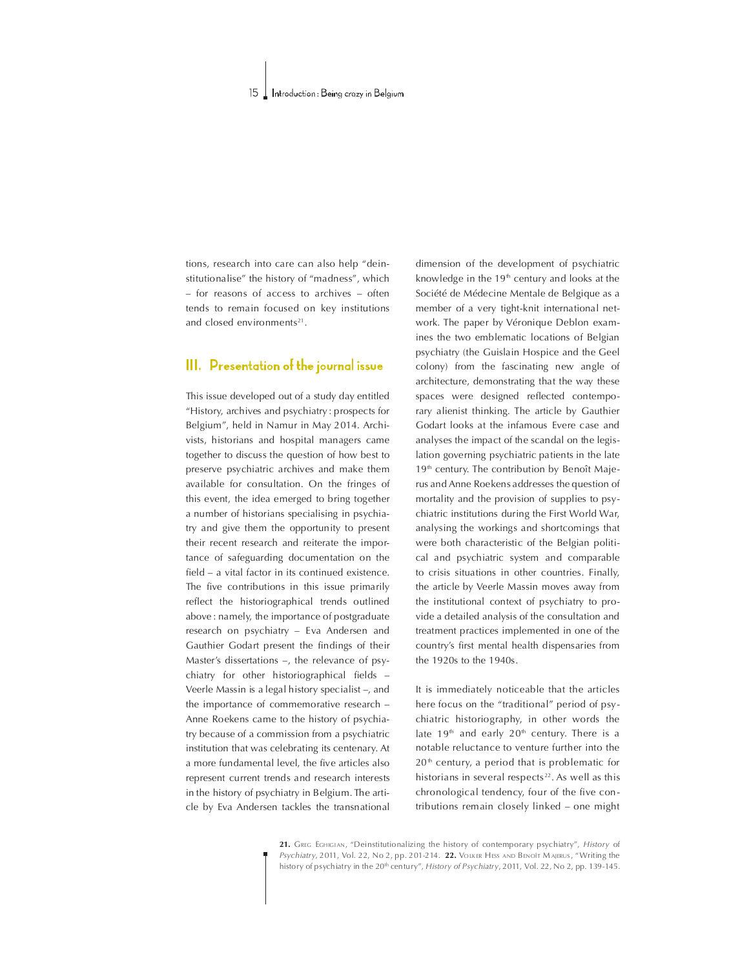tions, research into care can also help "deinstitutionalise" the history of "madness", which – for reasons of access to archives – often tends to remain focused on key institutions and closed environments<sup>21</sup>.

### III. Presentation of the journal issue

This issue developed out of a study day entitled "History, archives and psychiatry : prospects for Belgium", held in Namur in May 2014. Archivists, historians and hospital managers came together to discuss the question of how best to preserve psychiatric archives and make them available for consultation. On the fringes of this event, the idea emerged to bring together a number of historians specialising in psychiatry and give them the opportunity to present their recent research and reiterate the importance of safeguarding documentation on the  $field - a$  vital factor in its continued existence. The five contributions in this issue primarily reflect the historiographical trends outlined above : namely, the importance of postgraduate research on psychiatry - Eva Andersen and Gauthier Godart present the findings of their Master's dissertations  $-$ , the relevance of psychiatry for other historiographical fields  $-$ Veerle Massin is a legal history specialist -, and the importance of commemorative research  $-$ Anne Roekens came to the history of psychiatry because of a commission from a psychiatric institution that was celebrating its centenary. At a more fundamental level, the five articles also represent current trends and research interests in the history of psychiatry in Belgium. The article by Eva Andersen tackles the transnational

dimension of the development of psychiatric knowledge in the  $19<sup>th</sup>$  century and looks at the Société de Médecine Mentale de Belgique as a member of a very tight-knit international network. The paper by Véronique Deblon examines the two emblematic locations of Belgian psychiatry (the Guislain Hospice and the Geel colony) from the fascinating new angle of architecture, demonstrating that the way these spaces were designed reflected contemporary alienist thinking. The article by Gauthier Godart looks at the infamous Evere case and analyses the impact of the scandal on the legislation governing psychiatric patients in the late 19<sup>th</sup> century. The contribution by Benoît Majerus and Anne Roekens addresses the question of mortality and the provision of supplies to psychiatric institutions during the First World War, analysing the workings and shortcomings that were both characteristic of the Belgian political and psychiatric system and comparable to crisis situations in other countries. Finally, the article by Veerle Massin moves away from the institutional context of psychiatry to provide a detailed analysis of the consultation and treatment practices implemented in one of the country's first mental health dispensaries from the 1920s to the 1940s.

It is immediately noticeable that the articles here focus on the "traditional" period of psychiatric historiography, in other words the late  $19<sup>th</sup>$  and early  $20<sup>th</sup>$  century. There is a notable reluctance to venture further into the  $20<sup>th</sup>$  century, a period that is problematic for historians in several respects $22$ . As well as this chronological tendency, four of the five contributions remain closely linked - one might

21. GREG EGHIGIAN, "Deinstitutionalizing the history of contemporary psychiatry", History of Psychiatry, 2011, Vol. 22, No 2, pp. 201-214. 22. VOLKER HESS AND BENOÎT MAJERUS, "Writing the history of psychiatry in the 20<sup>th</sup> century", History of Psychiatry, 2011, Vol. 22, No 2, pp. 139-145.